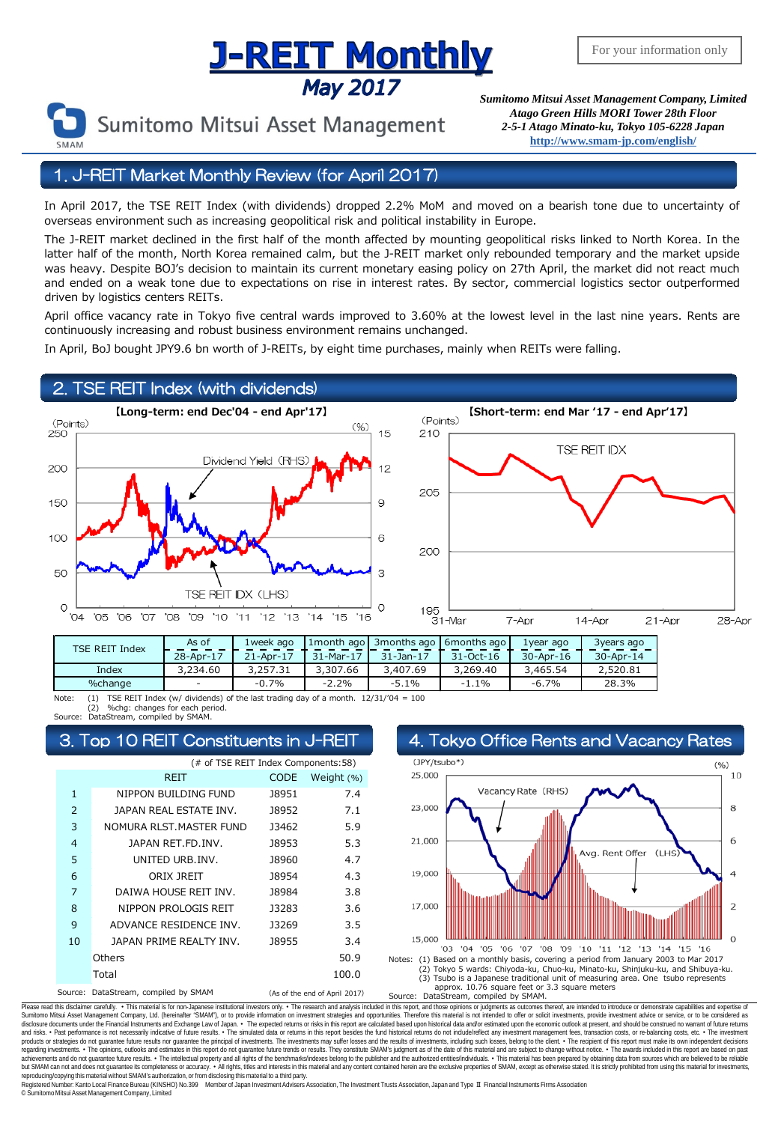# **J-REIT MONTHLY**<br>May 2017 Sumitomo Mitsui Asset Management Company, Limited



Sumitomo Mitsui Asset Management

*Atago Green Hills MORI Tower 28th Floor 2-5-1 Atago Minato-ku, Tokyo 105-6228 Japan* **<http://www.smam-jp.com/english/>**

# 1. J-REIT Market Monthly Review (for April 2017)

In April 2017, the TSE REIT Index (with dividends) dropped 2.2% MoM and moved on a bearish tone due to uncertainty of overseas environment such as increasing geopolitical risk and political instability in Europe.

The J-REIT market declined in the first half of the month affected by mounting geopolitical risks linked to North Korea. In the latter half of the month, North Korea remained calm, but the J-REIT market only rebounded temporary and the market upside was heavy. Despite BOJ's decision to maintain its current monetary easing policy on 27th April, the market did not react much and ended on a weak tone due to expectations on rise in interest rates. By sector, commercial logistics sector outperformed driven by logistics centers REITs.

April office vacancy rate in Tokyo five central wards improved to 3.60% at the lowest level in the last nine years. Rents are continuously increasing and robust business environment remains unchanged.

In April, BoJ bought JPY9.6 bn worth of J-REITs, by eight time purchases, mainly when REITs were falling.

#### 2. TSE REIT Index (with dividends)





| TSE REIT Index | As of     | 1week ago |           | 1 month ago   3 months ago   6 months ago |           | 1year ago       | 3years ago       |
|----------------|-----------|-----------|-----------|-------------------------------------------|-----------|-----------------|------------------|
|                | 28-Apr-17 | 21-Apr-17 | 31-Mar-17 | $31 - Jan - 17$                           | 31-Oct-16 | $30 - Apr - 16$ | $30 -$ Apr $-14$ |
| Index          | 3,234.60  | 3,257.31  | 3,307.66  | 3,407.69                                  | 3,269,40  | 3,465.54        | 2,520.81         |
| %change        |           | $-0.7%$   | $-2.2%$   | $-5.1%$                                   | $-1.1%$   | $-6.7%$         | 28.3%            |
|                |           |           |           |                                           |           |                 |                  |

Note: (1) TSE REIT Index (w/ dividends) of the last trading day of a month. 12/31/'04 = 100 (2) %chg: changes for each period. Source: DataStream, compiled by SMAM.

#### Top 10 REIT Constituents in J-REIT 4. Tokyo Office Rents and Vacancy Rates

| (# of TSE REIT Index Components:58) |                              |                               |            |  |  |  |  |
|-------------------------------------|------------------------------|-------------------------------|------------|--|--|--|--|
|                                     | REIT                         | CODE                          | Weight (%) |  |  |  |  |
| 1                                   | NIPPON BUILDING FUND         | J8951                         | 7.4        |  |  |  |  |
| $\overline{2}$                      | JAPAN REAL ESTATE INV.       | 18952                         | 7.1        |  |  |  |  |
| 3                                   | NOMURA RLST.MASTER FUND      | 13462                         | 5.9        |  |  |  |  |
| 4                                   | JAPAN RET.FD.INV.            | 18953                         | 5.3        |  |  |  |  |
| 5                                   | UNITED URB. INV.             | <b>J8960</b>                  | 4.7        |  |  |  |  |
| 6                                   | ORIX JREIT                   | J8954                         | 4.3        |  |  |  |  |
| 7                                   | DAIWA HOUSE REIT INV.        | <b>J8984</b>                  | 3.8        |  |  |  |  |
| 8                                   | NIPPON PROLOGIS REIT         | 13283                         | 3.6        |  |  |  |  |
| 9                                   | ADVANCE RESIDENCE INV.       | 13269                         | 3.5        |  |  |  |  |
| 10                                  | JAPAN PRIME REALTY INV.      | 18955                         | 3.4        |  |  |  |  |
|                                     | Others                       |                               | 50.9       |  |  |  |  |
|                                     | Total                        |                               | 100.0      |  |  |  |  |
| Source:                             | DataStream, compiled by SMAM | (As of the end of April 2017) |            |  |  |  |  |



Please read this disclaimer carefuly. • This material is for non-Japanese institutional investors only. • The research and analysis included in this report, and those opinions or judgments as outcomes thereof, are intended disclosure documents under the Financial Instruments and Exchange Law of Japan. • The expected relums or risks in this report are calculated based upon historial data and/or estimated upon the economic outlook at present, products or strategies do not guarantee future results nor guarantee the principal of investments. The investments may suffer losses and the results of investments, including such losses, belong to the client. . The recipi regarding investments. • The opinions, outlooks and estimates in this report do not guarantee future trends or results. They constitute SMAM's judgment as of the date of this material and are subject to change without noti reproducing/copying this material without SMAM's authorization, or from disclosing thismaterial to a third party.

egistered Number: Kanto Local Finance Bureau (KINSHO) No.399 Member of Japan Investment Advisers Association, The Investment Trusts Association, Japan and Type Ⅱ Financial Instruments Firms Association © SumitomoMitsui Asset Management Company, Limited